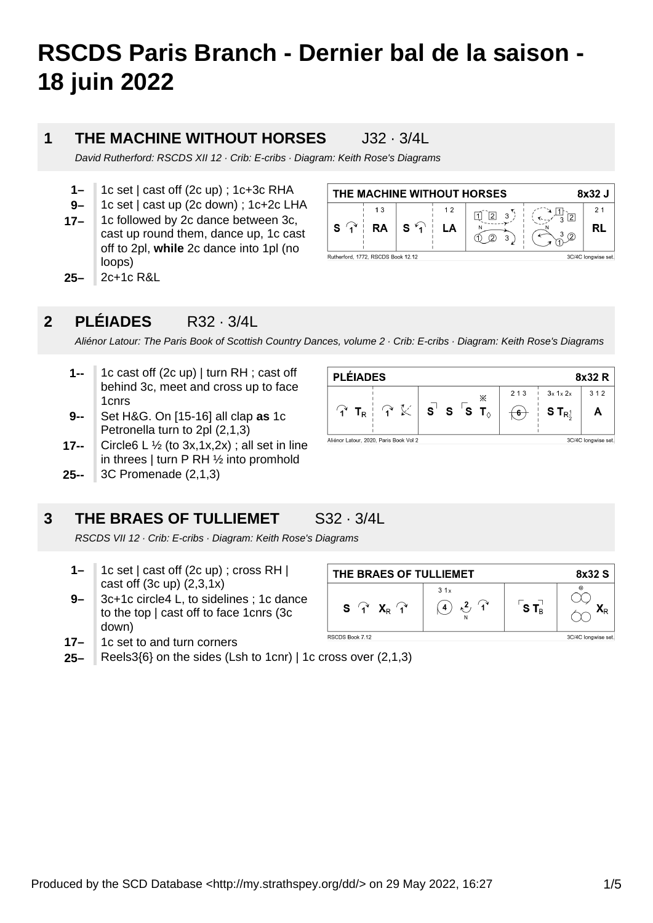# **RSCDS Paris Branch - Dernier bal de la saison - 18 juin 2022**

## **1**

**THE MACHINE WITHOUT HORSES** J32 · 3/4L

David Rutherford: RSCDS XII 12 · Crib: E-cribs · Diagram: Keith Rose's Diagrams

- **1–** 1c set | cast off (2c up) ; 1c+3c RHA
- **9–** 1c set | cast up (2c down) ; 1c+2c LHA
- **25– 17–** 1c followed by 2c dance between 3c, cast up round them, dance up, 1c cast off to 2pl, **while** 2c dance into 1pl (no loops) 2c+1c R&L
- THE MACHINE WITHOUT HORSES 8x32 J  $13$  $12$  $21$  $\frac{\pi}{3}$  2  $\begin{bmatrix} 1 & 2 & 3 \end{bmatrix}$  $S \nightharpoonup$  $S \curvearrowleft$ LA **RA RL**  $\overline{12}$   $\overline{22}$  $\sqrt{3}$ Rutherford, 1772, RSCDS Book 12.12 3C/4C longwise set.

## **2 PLÉIADES** R32 · 3/4L

Aliénor Latour: The Paris Book of Scottish Country Dances, volume 2 · Crib: E-cribs · Diagram: Keith Rose's Diagrams

- **1--** 1c cast off (2c up) | turn RH ; cast off behind 3c, meet and cross up to face 1cnrs
- **9--** Set H&G. On [15-16] all clap **as** 1c Petronella turn to 2pl (2,1,3)
- **17--** Circle6 L  $\frac{1}{2}$  (to 3x,1x,2x); all set in line in threes | turn P RH ½ into promhold
- **25--** 3C Promenade (2,1,3)

## **3 THE BRAES OF TULLIEMET** S32 · 3/4L

RSCDS VII 12 · Crib: E-cribs · Diagram: Keith Rose's Diagrams

- **1–** 1c set | cast off (2c up) ; cross RH | cast off (3c up) (2,3,1x)
- **9–** 3c+1c circle4 L, to sidelines ; 1c dance to the top | cast off to face 1cnrs (3c down)
- **17–** 1c set to and turn corners
- **25–** Reels3{6} on the sides (Lsh to 1cnr) | 1c cross over (2,1,3)



| THE BRAES OF TULLIEMET                                                              |          |               | 8x32 S              |
|-------------------------------------------------------------------------------------|----------|---------------|---------------------|
| $S \begin{bmatrix} 1 \\ 1 \end{bmatrix}$ $X_R \begin{bmatrix} 1 \\ 1 \end{bmatrix}$ | 31x<br>4 | $S T_{\rm B}$ | ٠.                  |
| RSCDS Book 7.12                                                                     |          |               | 3C/4C longwise set. |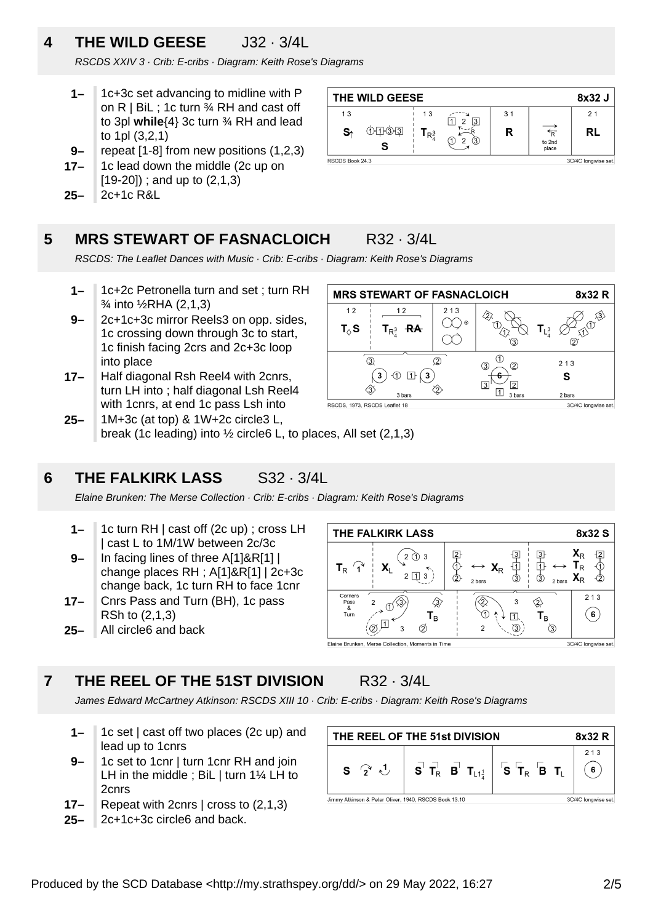## **4 THE WILD GEESE** J32 · 3/4L

RSCDS XXIV 3 · Crib: E-cribs · Diagram: Keith Rose's Diagrams

- **1–** 1c+3c set advancing to midline with P on  $R \mid B$ il ; 1c turn  $\frac{3}{4}$  RH and cast off to 3pl **while**{4} 3c turn ¾ RH and lead to 1pl (3,2,1)
- **9–** repeat [1-8] from new positions (1,2,3)
- **17–** 1c lead down the middle (2c up on [19-20]) ; and up to (2,1,3)
- **25–** 2c+1c R&L



**MRS STEWART OF FASNACLOICH** 

 $213$ 

 $\infty$ 

 $(2)$ 

∕∂

∩∩∙

∕π

 $\circled{3}$ 

 $\sqrt{3}$ 

.<br>③

 $\circled{2}$ 

 $\sqrt{2}$ 

3 hars

 $\circled{1}$ 

 $6 -$ 

 $\boxed{1}$ 

 $12$ 

 $T_{R}$ <sup>3</sup> RA

 $\left(3\right)$  1  $\left(3\right)$ 

3 hors

 $12$ 

 $T_{\vartriangle}$ S

 $\overline{3}$ 

 $\langle 3 \rangle$ 

RSCDS 1973 RSCDS Leaflet 18

### **5 MRS STEWART OF FASNACLOICH** R32 · 3/4L

RSCDS: The Leaflet Dances with Music · Crib: E-cribs · Diagram: Keith Rose's Diagrams

- **1–** 1c+2c Petronella turn and set ; turn RH ¾ into ½RHA (2,1,3)
- **9–** 2c+1c+3c mirror Reels3 on opp. sides, 1c crossing down through 3c to start, 1c finish facing 2crs and 2c+3c loop into place
- **17–** Half diagonal Rsh Reel4 with 2cnrs, turn LH into ; half diagonal Lsh Reel4 with 1cnrs, at end 1c pass Lsh into
- **25–** 1M+3c (at top) & 1W+2c circle3 L, break (1c leading) into ½ circle6 L, to places, All set (2,1,3)

## **6 THE FALKIRK LASS** S32 · 3/4L

Elaine Brunken: The Merse Collection · Crib: E-cribs · Diagram: Keith Rose's Diagrams

- **1–** 1c turn RH | cast off (2c up) ; cross LH | cast L to 1M/1W between 2c/3c
- **9–** In facing lines of three A[1]&R[1] | change places RH ; A[1]&R[1] | 2c+3c change back, 1c turn RH to face 1cnr
- **25– 17–** Cnrs Pass and Turn (BH), 1c pass RSh to (2,1,3) All circle6 and back

### **THE FALKIRK LASS** 8x32 S  $\frac{1}{2}$ 早のの  $\frac{3}{3}$  $\mathbf{X}_\text{R}$  $2$   $\bigcirc$  3 中<br>③  $T_R$   $\widehat{\mathcal{A}}$  $\mathsf{T}_\mathsf{R}$  $\mathbf{X}_{R}$  $2 \boxed{1} 3$  $\mathbf{X}_\text{R}$  $\overline{6}$ 2 bars  $213$ ⊗ ∕ᢃ∕ ♢ Pass  $\overline{3}$  $\mathbf{T}_\textrm{B}$ O  $(6)$  $\boxed{1}$  $\mathsf{T}_\mathsf{B}$  $\varpi^{1}$  $\circ$  $\mathcal{B}$ ্রি 3 Elaine Brunken, Merse Collection, Moments in Time 3C/4C longwise set.

## **7 THE REEL OF THE 51ST DIVISION** R32 · 3/4L

James Edward McCartney Atkinson: RSCDS XIII 10 · Crib: E-cribs · Diagram: Keith Rose's Diagrams

- **1–** 1c set | cast off two places (2c up) and lead up to 1cnrs
- **9–** 1c set to 1cnr | turn 1cnr RH and join LH in the middle : BiL I turn 1<sup>1/4</sup> LH to 2cnrs
- **17–** Repeat with 2cnrs | cross to (2,1,3)
- **25–** 2c+1c+3c circle6 and back.

| THE REEL OF THE 51st DIVISION                         |                                                                                                                                                                                                                    |  | 8x32 R              |
|-------------------------------------------------------|--------------------------------------------------------------------------------------------------------------------------------------------------------------------------------------------------------------------|--|---------------------|
| $S \nightharpoonup^{\mathcal{A}} \mathcal{L}$         | $\begin{array}{ c c c c c c }\hline \mathbf{S} & \mathbf{T}_\mathsf{R} & \mathbf{B} & \mathbf{T}_{\mathsf{L1}^1_2} & \mathbf{S} & \mathbf{T}_\mathsf{R} & \mathbf{B} & \mathbf{T}_\mathsf{L} \\\hline \end{array}$ |  | 213<br>6            |
| Jimmy Atkinson & Peter Oliver, 1940, RSCDS Book 13,10 |                                                                                                                                                                                                                    |  | 3C/4C longwise set. |

Jimmy Atkinson & Peter Oliver, 1940, RSCDS Book 13.10

Produced by the SCD Database <http://my.strathspey.org/dd/> on 29 May 2022, 16:27 2/5

8x32 R

1 3

分

3C/4C longwise set

 $\overline{2}$ 

 $213$ 

S

2 hars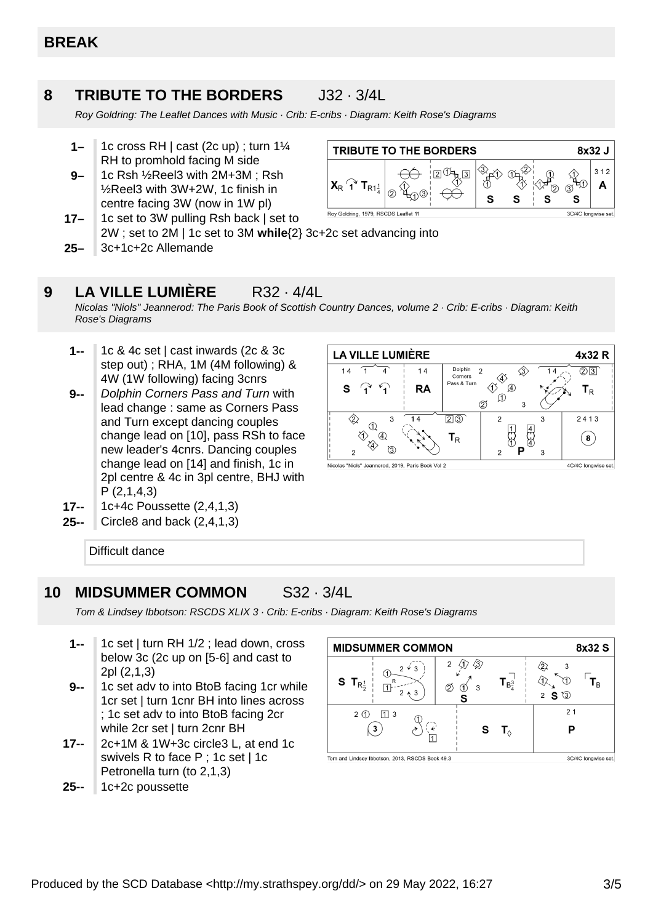### **8 TRIBUTE TO THE BORDERS** J32 · 3/4L

Roy Goldring: The Leaflet Dances with Music · Crib: E-cribs · Diagram: Keith Rose's Diagrams

- **1–** 1c cross RH | cast (2c up) ; turn 1¼ RH to promhold facing M side
- **9–** 1c Rsh ½Reel3 with 2M+3M ; Rsh ½Reel3 with 3W+2W, 1c finish in centre facing 3W (now in 1W pl)



- **17–** 1c set to 3W pulling Rsh back | set to 2W ; set to 2M | 1c set to 3M **while**{2} 3c+2c set advancing into
- **25–** 3c+1c+2c Allemande

## **9 LA VILLE LUMIÈRE** R32 · 4/4L

Nicolas "Niols" Jeannerod: The Paris Book of Scottish Country Dances, volume 2 · Crib: E-cribs · Diagram: Keith Rose's Diagrams

- **1--** 1c & 4c set | cast inwards (2c & 3c step out) ; RHA, 1M (4M following) & 4W (1W following) facing 3cnrs
- **9--** Dolphin Corners Pass and Turn with lead change : same as Corners Pass and Turn except dancing couples change lead on [10], pass RSh to face new leader's 4cnrs. Dancing couples change lead on [14] and finish, 1c in 2pl centre & 4c in 3pl centre, BHJ with P (2,1,4,3)



- **17--** 1c+4c Poussette (2,4,1,3)
- **25--** Circle8 and back (2,4,1,3)

Difficult dance

### **10 MIDSUMMER COMMON** S32 · 3/4L

Tom & Lindsey Ibbotson: RSCDS XLIX 3 · Crib: E-cribs · Diagram: Keith Rose's Diagrams

- **1--** 1c set | turn RH 1/2 ; lead down, cross below 3c (2c up on [5-6] and cast to 2pl (2,1,3)
- **9--** 1c set adv to into BtoB facing 1cr while 1cr set | turn 1cnr BH into lines across ; 1c set adv to into BtoB facing 2cr while 2cr set I turn 2cnr BH
- **17--** 2c+1M & 1W+3c circle3 L, at end 1c swivels R to face P ; 1c set | 1c Petronella turn (to 2,1,3)
- **25--** 1c+2c poussette

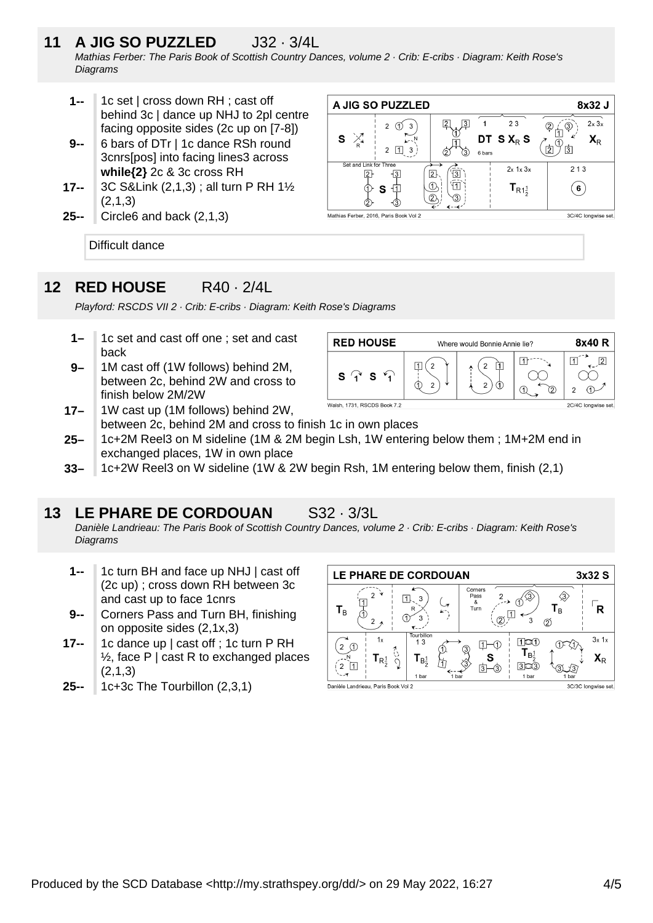- **11 A JIG SO PUZZLED** J32 · 3/4L Mathias Ferber: The Paris Book of Scottish Country Dances, volume 2 · Crib: E-cribs · Diagram: Keith Rose's **Diagrams** 
	- **1--** 1c set | cross down RH ; cast off behind 3c | dance up NHJ to 2pl centre facing opposite sides (2c up on [7-8])
	- **9--** 6 bars of DTr | 1c dance RSh round 3cnrs[pos] into facing lines3 across **while{2}** 2c & 3c cross RH
	- **17--** 3C S&Link (2,1,3) ; all turn P RH 1½ (2,1,3)
	- **25--** Circle6 and back (2,1,3)

A JIG SO PUZZLED 8x32 J  $2x3x$  $\overline{3}$  $\mathbf{1}$  $23$ 2  $\sigma$  3  $\overline{3}$  $\circled{2}$ S  $\sum_{k=1}^{n}$ DT S X<sub>R</sub> S  $\mathbb{X}$  $X_{R}$ C  $\overline{2}$ ้าร้า  $2 \boxed{1} 3$ 6 bars Set and Link for  $2x$  1x  $3x$  $213$  $\overline{2}$  $\widehat{[3]}$  $\sqrt{2}$  $\overline{3}$  $\circled{1}$ 旬  $T_{R1\frac{1}{2}}$ 劧  $\left( 6\right)$ ന്  $\mathbf{s}$  $\overline{2}$  $\circled{3}$ 3C/4C longwise set. Mathias Ferber, 2016, Paris Book Vol 2

Difficult dance

## **12 RED HOUSE** R40 · 2/4L

Playford: RSCDS VII 2 · Crib: E-cribs · Diagram: Keith Rose's Diagrams

- **1–** 1c set and cast off one ; set and cast back
- **9–** 1M cast off (1W follows) behind 2M, between 2c, behind 2W and cross to finish below 2M/2W

| <b>RED HOUSE</b>                                      | Where would Bonnie Annie lie? |  |  | 8x40 R              |
|-------------------------------------------------------|-------------------------------|--|--|---------------------|
| c<br>$\mathscr{C}_{\mathbf{A}}$<br>$\mathbf{\hat{c}}$ | າ                             |  |  | ◠                   |
| Walsh, 1731, RSCDS Book 7.2                           |                               |  |  | 2C/4C longwise set. |

- **17–** 1W cast up (1M follows) behind 2W, between 2c, behind 2M and cross to finish 1c in own places
- **25–** 1c+2M Reel3 on M sideline (1M & 2M begin Lsh, 1W entering below them ; 1M+2M end in exchanged places, 1W in own place
- **33–** 1c+2W Reel3 on W sideline (1W & 2W begin Rsh, 1M entering below them, finish (2,1)

## **13 LE PHARE DE CORDOUAN** S32 · 3/3L

Danièle Landrieau: The Paris Book of Scottish Country Dances, volume 2 · Crib: E-cribs · Diagram: Keith Rose's **Diagrams** 

- **1--** 1c turn BH and face up NHJ | cast off (2c up) ; cross down RH between 3c and cast up to face 1cnrs
- **9--** Corners Pass and Turn BH, finishing on opposite sides (2,1x,3)
- **17--** 1c dance up I cast off : 1c turn P RH  $\frac{1}{2}$ , face P | cast R to exchanged places (2,1,3)
- **25--** 1c+3c The Tourbillon (2,3,1)